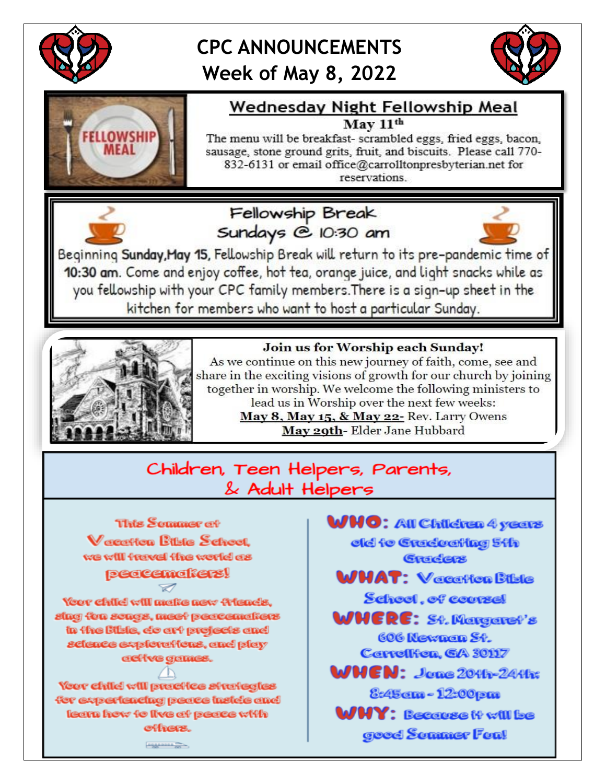

# **CPC ANNOUNCEMENTS Week of May 8, 2022**





# **Wednesday Night Fellowship Meal**

May 11<sup>th</sup>

The menu will be breakfast- scrambled eggs, fried eggs, bacon, sausage, stone ground grits, fruit, and biscuits. Please call 770-832-6131 or email office@carrolltonpresbyterian.net for reservations.





Beginning Sunday, May 15, Fellowship Break will return to its pre-pandemic time of 10:30 am. Come and enjoy coffee, hot tea, orange juice, and light snacks while as you fellowship with your CPC family members. There is a sign-up sheet in the kitchen for members who want to host a particular Sunday.



### Join us for Worship each Sunday!

As we continue on this new journey of faith, come, see and share in the exciting visions of growth for our church by joining together in worship. We welcome the following ministers to lead us in Worship over the next few weeks:

May 8, May 15, & May 22- Rev. Larry Owens May 29th-Elder Jane Hubbard

## Children, Teen Helpers, Parents, & Adult Helpers

**This Semmer of V**ocaston Rible School we will frewel fhe world as pedcemakers!

Your child will make new friends, sing fon sengs, meet peacemakers in the Bible, do art projects and science explorations, and play cefve games.

Your child will proofice strategies for experiencing peace inside and learn how to live at peace with others.

**WHO: All Children 4 years** old to Graduating 5th Grades **WHAT: Vecetten Bible** School, of coursel WHERE: St. Margaret's 606 Newnan St. Correllfien. GA 30117  $\mathsf{WHEN}:$  Jane 2011-2411: *<u> 8:45cm - 12:00pm</u>* **WHY: Because tt will be** good Sommer Fon!

**Expressed**